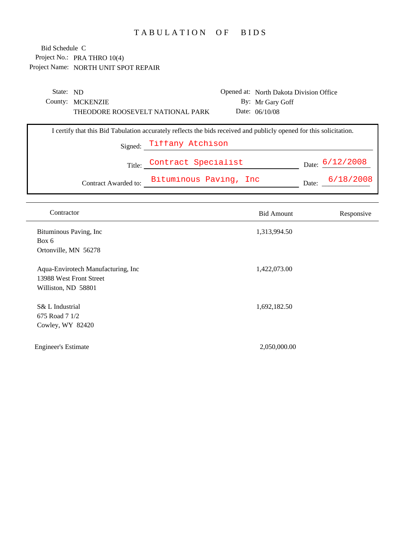## TABULATION OF BIDS

| State: ND |                                                                                                                     |                            | Opened at: North Dakota Division Office |                 |
|-----------|---------------------------------------------------------------------------------------------------------------------|----------------------------|-----------------------------------------|-----------------|
|           | County: MCKENZIE                                                                                                    |                            | By: Mr Gary Goff                        |                 |
|           | THEODORE ROOSEVELT NATIONAL PARK                                                                                    |                            | Date: $06/10/08$                        |                 |
|           | I certify that this Bid Tabulation accurately reflects the bids received and publicly opened for this solicitation. |                            |                                         |                 |
|           |                                                                                                                     | Signed: Tiffany Atchison   |                                         |                 |
|           |                                                                                                                     | Title: Contract Specialist |                                         | Date: 6/12/2008 |
|           | Contract Awarded to:                                                                                                | Bituminous Paving, Inc     |                                         | Date: 6/18/2008 |

| Contractor                                                                           | <b>Bid Amount</b> | Responsive |
|--------------------------------------------------------------------------------------|-------------------|------------|
| Bituminous Paving, Inc<br>Box 6                                                      | 1,313,994.50      |            |
| Ortonville, MN 56278                                                                 |                   |            |
| Aqua-Envirotech Manufacturing, Inc<br>13988 West Front Street<br>Williston, ND 58801 | 1,422,073.00      |            |
| S& L Industrial<br>675 Road 7 1/2<br>Cowley, WY 82420                                | 1,692,182.50      |            |
| <b>Engineer's Estimate</b>                                                           | 2,050,000.00      |            |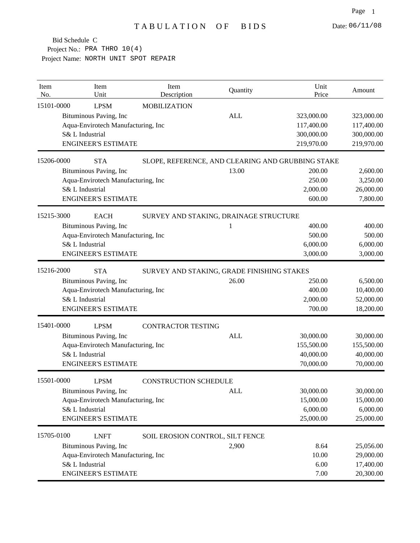| Item<br>No. | Item<br>Unit                       | Item<br>Description                               | Quantity   | Unit<br>Price | Amount     |
|-------------|------------------------------------|---------------------------------------------------|------------|---------------|------------|
| 15101-0000  | <b>LPSM</b>                        | <b>MOBILIZATION</b>                               |            |               |            |
|             | Bituminous Paving, Inc             |                                                   | <b>ALL</b> | 323,000.00    | 323,000.00 |
|             | Aqua-Envirotech Manufacturing, Inc |                                                   |            | 117,400.00    | 117,400.00 |
|             | S& L Industrial                    |                                                   |            | 300,000.00    | 300,000.00 |
|             | <b>ENGINEER'S ESTIMATE</b>         |                                                   |            | 219,970.00    | 219,970.00 |
| 15206-0000  | <b>STA</b>                         | SLOPE, REFERENCE, AND CLEARING AND GRUBBING STAKE |            |               |            |
|             | Bituminous Paving, Inc             |                                                   | 13.00      | 200.00        | 2,600.00   |
|             | Aqua-Envirotech Manufacturing, Inc |                                                   |            | 250.00        | 3,250.00   |
|             | S& L Industrial                    |                                                   |            | 2,000.00      | 26,000.00  |
|             | <b>ENGINEER'S ESTIMATE</b>         |                                                   |            | 600.00        | 7,800.00   |
| 15215-3000  | <b>EACH</b>                        | SURVEY AND STAKING, DRAINAGE STRUCTURE            |            |               |            |
|             | Bituminous Paving, Inc             |                                                   | 1          | 400.00        | 400.00     |
|             | Aqua-Envirotech Manufacturing, Inc |                                                   |            | 500.00        | 500.00     |
|             | S& L Industrial                    |                                                   |            | 6,000.00      | 6,000.00   |
|             | <b>ENGINEER'S ESTIMATE</b>         |                                                   |            | 3,000.00      | 3,000.00   |
| 15216-2000  | <b>STA</b>                         | SURVEY AND STAKING, GRADE FINISHING STAKES        |            |               |            |
|             | Bituminous Paving, Inc             |                                                   | 26.00      | 250.00        | 6,500.00   |
|             | Aqua-Envirotech Manufacturing, Inc |                                                   |            | 400.00        | 10,400.00  |
|             | S& L Industrial                    |                                                   |            | 2,000.00      | 52,000.00  |
|             | <b>ENGINEER'S ESTIMATE</b>         |                                                   |            | 700.00        | 18,200.00  |
| 15401-0000  | <b>LPSM</b>                        | <b>CONTRACTOR TESTING</b>                         |            |               |            |
|             | Bituminous Paving, Inc             |                                                   | <b>ALL</b> | 30,000.00     | 30,000.00  |
|             | Aqua-Envirotech Manufacturing, Inc |                                                   |            | 155,500.00    | 155,500.00 |
|             | S& L Industrial                    |                                                   |            | 40,000.00     | 40,000.00  |
|             | <b>ENGINEER'S ESTIMATE</b>         |                                                   |            | 70,000.00     | 70,000.00  |
| 15501-0000  | <b>LPSM</b>                        | <b>CONSTRUCTION SCHEDULE</b>                      |            |               |            |
|             | Bituminous Paving, Inc             |                                                   | <b>ALL</b> | 30,000.00     | 30,000.00  |
|             | Aqua-Envirotech Manufacturing, Inc |                                                   |            | 15,000.00     | 15,000.00  |
|             | S& L Industrial                    |                                                   |            | 6,000.00      | 6,000.00   |
|             | <b>ENGINEER'S ESTIMATE</b>         |                                                   |            | 25,000.00     | 25,000.00  |
| 15705-0100  | <b>LNFT</b>                        | SOIL EROSION CONTROL, SILT FENCE                  |            |               |            |
|             | Bituminous Paving, Inc             |                                                   | 2,900      | 8.64          | 25,056.00  |
|             | Aqua-Envirotech Manufacturing, Inc |                                                   |            | 10.00         | 29,000.00  |
|             | S& L Industrial                    |                                                   |            | 6.00          | 17,400.00  |
|             | <b>ENGINEER'S ESTIMATE</b>         |                                                   |            | 7.00          | 20,300.00  |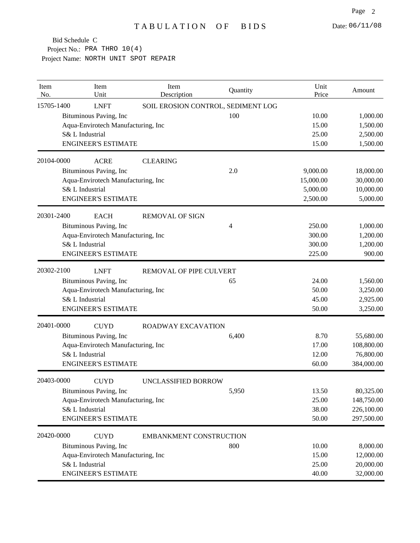| Item<br>No. | Item<br>Unit                       | Item<br>Description            | Quantity                           | Unit<br>Price | Amount     |
|-------------|------------------------------------|--------------------------------|------------------------------------|---------------|------------|
| 15705-1400  | <b>LNFT</b>                        |                                | SOIL EROSION CONTROL, SEDIMENT LOG |               |            |
|             | Bituminous Paving, Inc             |                                | 100                                | 10.00         | 1,000.00   |
|             | Aqua-Envirotech Manufacturing, Inc |                                |                                    | 15.00         | 1,500.00   |
|             | S& L Industrial                    |                                |                                    | 25.00         | 2,500.00   |
|             | <b>ENGINEER'S ESTIMATE</b>         |                                |                                    | 15.00         | 1,500.00   |
| 20104-0000  | <b>ACRE</b>                        | <b>CLEARING</b>                |                                    |               |            |
|             | Bituminous Paving, Inc             |                                | 2.0                                | 9,000.00      | 18,000.00  |
|             | Aqua-Envirotech Manufacturing, Inc |                                |                                    | 15,000.00     | 30,000.00  |
|             | S& L Industrial                    |                                |                                    | 5,000.00      | 10,000.00  |
|             | <b>ENGINEER'S ESTIMATE</b>         |                                |                                    | 2,500.00      | 5,000.00   |
| 20301-2400  | <b>EACH</b>                        | <b>REMOVAL OF SIGN</b>         |                                    |               |            |
|             | Bituminous Paving, Inc             |                                | 4                                  | 250.00        | 1,000.00   |
|             | Aqua-Envirotech Manufacturing, Inc |                                |                                    | 300.00        | 1,200.00   |
|             | S& L Industrial                    |                                |                                    | 300.00        | 1,200.00   |
|             | <b>ENGINEER'S ESTIMATE</b>         |                                |                                    | 225.00        | 900.00     |
| 20302-2100  | <b>LNFT</b>                        | REMOVAL OF PIPE CULVERT        |                                    |               |            |
|             | Bituminous Paving, Inc             |                                | 65                                 | 24.00         | 1,560.00   |
|             | Aqua-Envirotech Manufacturing, Inc |                                |                                    | 50.00         | 3,250.00   |
|             | S& L Industrial                    |                                |                                    | 45.00         | 2,925.00   |
|             | <b>ENGINEER'S ESTIMATE</b>         |                                |                                    | 50.00         | 3,250.00   |
| 20401-0000  | <b>CUYD</b>                        | <b>ROADWAY EXCAVATION</b>      |                                    |               |            |
|             | Bituminous Paving, Inc             |                                | 6,400                              | 8.70          | 55,680.00  |
|             | Aqua-Envirotech Manufacturing, Inc |                                |                                    | 17.00         | 108,800.00 |
|             | S& L Industrial                    |                                |                                    | 12.00         | 76,800.00  |
|             | <b>ENGINEER'S ESTIMATE</b>         |                                |                                    | 60.00         | 384,000.00 |
| 20403-0000  | <b>CUYD</b>                        | UNCLASSIFIED BORROW            |                                    |               |            |
|             | Bituminous Paving, Inc             |                                | 5,950                              | 13.50         | 80,325.00  |
|             | Aqua-Envirotech Manufacturing, Inc |                                |                                    | 25.00         | 148,750.00 |
|             | S& L Industrial                    |                                |                                    | 38.00         | 226,100.00 |
|             | <b>ENGINEER'S ESTIMATE</b>         |                                |                                    | 50.00         | 297,500.00 |
| 20420-0000  | <b>CUYD</b>                        | <b>EMBANKMENT CONSTRUCTION</b> |                                    |               |            |
|             | Bituminous Paving, Inc             |                                | 800                                | 10.00         | 8,000.00   |
|             | Aqua-Envirotech Manufacturing, Inc |                                |                                    | 15.00         | 12,000.00  |
|             | S& L Industrial                    |                                |                                    | 25.00         | 20,000.00  |
|             | <b>ENGINEER'S ESTIMATE</b>         |                                |                                    | 40.00         | 32,000.00  |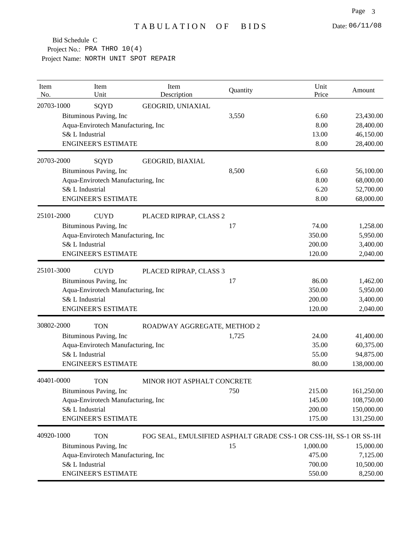| Item<br>No. | Item<br>Unit                       | Item<br>Description                                               | Quantity | Unit<br>Price | Amount     |
|-------------|------------------------------------|-------------------------------------------------------------------|----------|---------------|------------|
| 20703-1000  | SQYD                               | GEOGRID, UNIAXIAL                                                 |          |               |            |
|             | Bituminous Paving, Inc             |                                                                   | 3,550    | 6.60          | 23,430.00  |
|             | Aqua-Envirotech Manufacturing, Inc |                                                                   |          | 8.00          | 28,400.00  |
|             | S& L Industrial                    |                                                                   |          | 13.00         | 46,150.00  |
|             | <b>ENGINEER'S ESTIMATE</b>         |                                                                   |          | 8.00          | 28,400.00  |
| 20703-2000  | SQYD                               | GEOGRID, BIAXIAL                                                  |          |               |            |
|             | Bituminous Paving, Inc             |                                                                   | 8,500    | 6.60          | 56,100.00  |
|             | Aqua-Envirotech Manufacturing, Inc |                                                                   |          | 8.00          | 68,000.00  |
|             | S& L Industrial                    |                                                                   |          | 6.20          | 52,700.00  |
|             | <b>ENGINEER'S ESTIMATE</b>         |                                                                   |          | 8.00          | 68,000.00  |
| 25101-2000  | <b>CUYD</b>                        | PLACED RIPRAP, CLASS 2                                            |          |               |            |
|             | Bituminous Paving, Inc             |                                                                   | 17       | 74.00         | 1,258.00   |
|             | Aqua-Envirotech Manufacturing, Inc |                                                                   |          | 350.00        | 5,950.00   |
|             | S& L Industrial                    |                                                                   |          | 200.00        | 3,400.00   |
|             | <b>ENGINEER'S ESTIMATE</b>         |                                                                   |          | 120.00        | 2,040.00   |
| 25101-3000  | <b>CUYD</b>                        | PLACED RIPRAP, CLASS 3                                            |          |               |            |
|             | Bituminous Paving, Inc             |                                                                   | 17       | 86.00         | 1,462.00   |
|             | Aqua-Envirotech Manufacturing, Inc |                                                                   |          | 350.00        | 5,950.00   |
|             | S& L Industrial                    |                                                                   |          | 200.00        | 3,400.00   |
|             | <b>ENGINEER'S ESTIMATE</b>         |                                                                   |          | 120.00        | 2,040.00   |
| 30802-2000  | <b>TON</b>                         | ROADWAY AGGREGATE, METHOD 2                                       |          |               |            |
|             | Bituminous Paving, Inc             |                                                                   | 1,725    | 24.00         | 41,400.00  |
|             | Aqua-Envirotech Manufacturing, Inc |                                                                   |          | 35.00         | 60,375.00  |
|             | S& L Industrial                    |                                                                   |          | 55.00         | 94,875.00  |
|             | <b>ENGINEER'S ESTIMATE</b>         |                                                                   |          | 80.00         | 138,000.00 |
| 40401-0000  | <b>TON</b>                         | MINOR HOT ASPHALT CONCRETE                                        |          |               |            |
|             | Bituminous Paving, Inc.            |                                                                   | 750      | 215.00        | 161,250.00 |
|             | Aqua-Envirotech Manufacturing, Inc |                                                                   |          | 145.00        | 108,750.00 |
|             | S& L Industrial                    |                                                                   |          | 200.00        | 150,000.00 |
|             | <b>ENGINEER'S ESTIMATE</b>         |                                                                   |          | 175.00        | 131,250.00 |
| 40920-1000  | <b>TON</b>                         | FOG SEAL, EMULSIFIED ASPHALT GRADE CSS-1 OR CSS-1H, SS-1 OR SS-1H |          |               |            |
|             | Bituminous Paving, Inc             |                                                                   | 15       | 1,000.00      | 15,000.00  |
|             | Aqua-Envirotech Manufacturing, Inc |                                                                   |          | 475.00        | 7,125.00   |
|             | S& L Industrial                    |                                                                   |          | 700.00        | 10,500.00  |
|             | <b>ENGINEER'S ESTIMATE</b>         |                                                                   |          | 550.00        | 8,250.00   |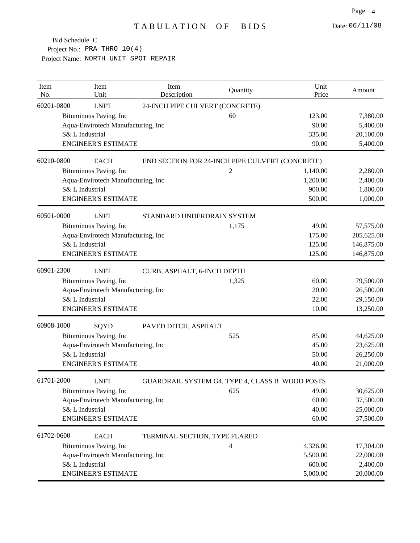| Item<br>No. | Item<br>Unit                       | Item<br>Description             | Quantity                                        | Unit<br>Price | Amount     |
|-------------|------------------------------------|---------------------------------|-------------------------------------------------|---------------|------------|
| 60201-0800  | <b>LNFT</b>                        | 24-INCH PIPE CULVERT (CONCRETE) |                                                 |               |            |
|             | Bituminous Paving, Inc             |                                 | 60                                              | 123.00        | 7,380.00   |
|             | Aqua-Envirotech Manufacturing, Inc |                                 |                                                 | 90.00         | 5,400.00   |
|             | S& L Industrial                    |                                 |                                                 | 335.00        | 20,100.00  |
|             | <b>ENGINEER'S ESTIMATE</b>         |                                 |                                                 | 90.00         | 5,400.00   |
| 60210-0800  | <b>EACH</b>                        |                                 | END SECTION FOR 24-INCH PIPE CULVERT (CONCRETE) |               |            |
|             | Bituminous Paving, Inc             |                                 | $\overline{c}$                                  | 1,140.00      | 2,280.00   |
|             | Aqua-Envirotech Manufacturing, Inc |                                 |                                                 | 1,200.00      | 2,400.00   |
|             | S& L Industrial                    |                                 |                                                 | 900.00        | 1,800.00   |
|             | <b>ENGINEER'S ESTIMATE</b>         |                                 |                                                 | 500.00        | 1,000.00   |
| 60501-0000  | <b>LNFT</b>                        | STANDARD UNDERDRAIN SYSTEM      |                                                 |               |            |
|             | Bituminous Paving, Inc             |                                 | 1,175                                           | 49.00         | 57,575.00  |
|             | Aqua-Envirotech Manufacturing, Inc |                                 |                                                 | 175.00        | 205,625.00 |
|             | S& L Industrial                    |                                 |                                                 | 125.00        | 146,875.00 |
|             | <b>ENGINEER'S ESTIMATE</b>         |                                 |                                                 | 125.00        | 146,875.00 |
| 60901-2300  | <b>LNFT</b>                        | CURB, ASPHALT, 6-INCH DEPTH     |                                                 |               |            |
|             | Bituminous Paving, Inc             |                                 | 1,325                                           | 60.00         | 79,500.00  |
|             | Aqua-Envirotech Manufacturing, Inc |                                 |                                                 | 20.00         | 26,500.00  |
|             | S& L Industrial                    |                                 |                                                 | 22.00         | 29,150.00  |
|             | <b>ENGINEER'S ESTIMATE</b>         |                                 |                                                 | 10.00         | 13,250.00  |
| 60908-1000  | SQYD                               | PAVED DITCH, ASPHALT            |                                                 |               |            |
|             | Bituminous Paving, Inc             |                                 | 525                                             | 85.00         | 44,625.00  |
|             | Aqua-Envirotech Manufacturing, Inc |                                 |                                                 | 45.00         | 23,625.00  |
|             | S& L Industrial                    |                                 |                                                 | 50.00         | 26,250.00  |
|             | <b>ENGINEER'S ESTIMATE</b>         |                                 |                                                 | 40.00         | 21,000.00  |
| 61701-2000  | <b>LNFT</b>                        |                                 | GUARDRAIL SYSTEM G4, TYPE 4, CLASS B WOOD POSTS |               |            |
|             | Bituminous Paving, Inc             |                                 | 625                                             | 49.00         | 30,625.00  |
|             | Aqua-Envirotech Manufacturing, Inc |                                 |                                                 | 60.00         | 37,500.00  |
|             | S& L Industrial                    |                                 |                                                 | 40.00         | 25,000.00  |
|             | <b>ENGINEER'S ESTIMATE</b>         |                                 |                                                 | 60.00         | 37,500.00  |
| 61702-0600  | <b>EACH</b>                        | TERMINAL SECTION, TYPE FLARED   |                                                 |               |            |
|             | Bituminous Paving, Inc             |                                 | $\overline{4}$                                  | 4,326.00      | 17,304.00  |
|             | Aqua-Envirotech Manufacturing, Inc |                                 |                                                 | 5,500.00      | 22,000.00  |
|             | S& L Industrial                    |                                 |                                                 | 600.00        | 2,400.00   |
|             | <b>ENGINEER'S ESTIMATE</b>         |                                 |                                                 | 5,000.00      | 20,000.00  |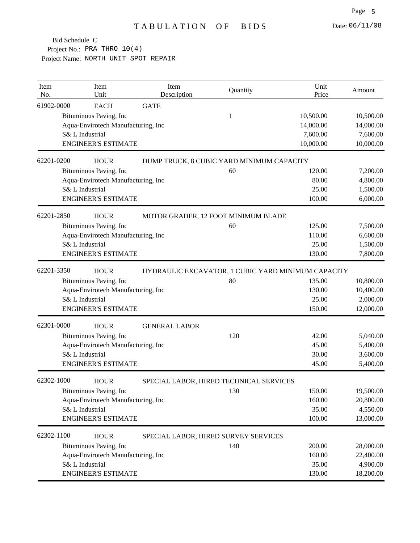| Item<br>No. | Item<br>Unit                       | Item<br>Description                                | Quantity | Unit<br>Price | Amount    |
|-------------|------------------------------------|----------------------------------------------------|----------|---------------|-----------|
| 61902-0000  | <b>EACH</b>                        | <b>GATE</b>                                        |          |               |           |
|             | Bituminous Paving, Inc             |                                                    | 1        | 10,500.00     | 10,500.00 |
|             | Aqua-Envirotech Manufacturing, Inc |                                                    |          | 14,000.00     | 14,000.00 |
|             | S& L Industrial                    |                                                    |          | 7,600.00      | 7,600.00  |
|             | <b>ENGINEER'S ESTIMATE</b>         |                                                    |          | 10,000.00     | 10,000.00 |
| 62201-0200  | <b>HOUR</b>                        | DUMP TRUCK, 8 CUBIC YARD MINIMUM CAPACITY          |          |               |           |
|             | Bituminous Paving, Inc             |                                                    | 60       | 120.00        | 7,200.00  |
|             | Aqua-Envirotech Manufacturing, Inc |                                                    |          | 80.00         | 4,800.00  |
|             | S& L Industrial                    |                                                    |          | 25.00         | 1,500.00  |
|             | <b>ENGINEER'S ESTIMATE</b>         |                                                    |          | 100.00        | 6,000.00  |
| 62201-2850  | <b>HOUR</b>                        | MOTOR GRADER, 12 FOOT MINIMUM BLADE                |          |               |           |
|             | Bituminous Paving, Inc             |                                                    | 60       | 125.00        | 7,500.00  |
|             | Aqua-Envirotech Manufacturing, Inc |                                                    |          | 110.00        | 6,600.00  |
|             | S& L Industrial                    |                                                    |          | 25.00         | 1,500.00  |
|             | <b>ENGINEER'S ESTIMATE</b>         |                                                    |          | 130.00        | 7,800.00  |
| 62201-3350  | <b>HOUR</b>                        | HYDRAULIC EXCAVATOR, 1 CUBIC YARD MINIMUM CAPACITY |          |               |           |
|             | Bituminous Paving, Inc             |                                                    | 80       | 135.00        | 10,800.00 |
|             | Aqua-Envirotech Manufacturing, Inc |                                                    |          | 130.00        | 10,400.00 |
|             | S& L Industrial                    |                                                    |          | 25.00         | 2,000.00  |
|             | <b>ENGINEER'S ESTIMATE</b>         |                                                    |          | 150.00        | 12,000.00 |
| 62301-0000  | <b>HOUR</b>                        | <b>GENERAL LABOR</b>                               |          |               |           |
|             | Bituminous Paving, Inc             |                                                    | 120      | 42.00         | 5,040.00  |
|             | Aqua-Envirotech Manufacturing, Inc |                                                    |          | 45.00         | 5,400.00  |
|             | S& L Industrial                    |                                                    |          | 30.00         | 3,600.00  |
|             | <b>ENGINEER'S ESTIMATE</b>         |                                                    |          | 45.00         | 5,400.00  |
| 62302-1000  | <b>HOUR</b>                        | SPECIAL LABOR, HIRED TECHNICAL SERVICES            |          |               |           |
|             | Bituminous Paving, Inc             |                                                    | 130      | 150.00        | 19,500.00 |
|             | Aqua-Envirotech Manufacturing, Inc |                                                    |          | 160.00        | 20,800.00 |
|             | S& L Industrial                    |                                                    |          | 35.00         | 4,550.00  |
|             | <b>ENGINEER'S ESTIMATE</b>         |                                                    |          | 100.00        | 13,000.00 |
| 62302-1100  | <b>HOUR</b>                        | SPECIAL LABOR, HIRED SURVEY SERVICES               |          |               |           |
|             | Bituminous Paving, Inc             |                                                    | 140      | 200.00        | 28,000.00 |
|             | Aqua-Envirotech Manufacturing, Inc |                                                    |          | 160.00        | 22,400.00 |
|             | S& L Industrial                    |                                                    |          | 35.00         | 4,900.00  |
|             | <b>ENGINEER'S ESTIMATE</b>         |                                                    |          | 130.00        | 18,200.00 |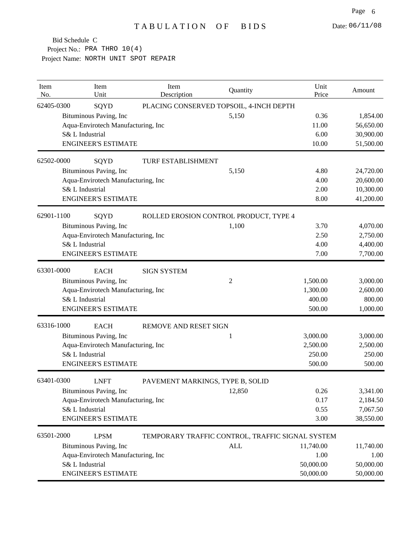| Item<br>No. | Item<br>Unit                       | Item<br>Description              | Quantity                                         | Unit<br>Price | Amount    |
|-------------|------------------------------------|----------------------------------|--------------------------------------------------|---------------|-----------|
| 62405-0300  | SQYD                               |                                  | PLACING CONSERVED TOPSOIL, 4-INCH DEPTH          |               |           |
|             | Bituminous Paving, Inc             |                                  | 5,150                                            | 0.36          | 1,854.00  |
|             | Aqua-Envirotech Manufacturing, Inc |                                  |                                                  | 11.00         | 56,650.00 |
|             | S& L Industrial                    |                                  |                                                  | 6.00          | 30,900.00 |
|             | <b>ENGINEER'S ESTIMATE</b>         |                                  |                                                  | 10.00         | 51,500.00 |
| 62502-0000  | SQYD                               | <b>TURF ESTABLISHMENT</b>        |                                                  |               |           |
|             | Bituminous Paving, Inc             |                                  | 5,150                                            | 4.80          | 24,720.00 |
|             | Aqua-Envirotech Manufacturing, Inc |                                  |                                                  | 4.00          | 20,600.00 |
|             | S& L Industrial                    |                                  |                                                  | 2.00          | 10,300.00 |
|             | <b>ENGINEER'S ESTIMATE</b>         |                                  |                                                  | 8.00          | 41,200.00 |
| 62901-1100  | SQYD                               |                                  | ROLLED EROSION CONTROL PRODUCT, TYPE 4           |               |           |
|             | Bituminous Paving, Inc             |                                  | 1,100                                            | 3.70          | 4,070.00  |
|             | Aqua-Envirotech Manufacturing, Inc |                                  |                                                  | 2.50          | 2,750.00  |
|             | S& L Industrial                    |                                  |                                                  | 4.00          | 4,400.00  |
|             | <b>ENGINEER'S ESTIMATE</b>         |                                  |                                                  | 7.00          | 7,700.00  |
| 63301-0000  | <b>EACH</b>                        | <b>SIGN SYSTEM</b>               |                                                  |               |           |
|             | Bituminous Paving, Inc             |                                  | 2                                                | 1,500.00      | 3,000.00  |
|             | Aqua-Envirotech Manufacturing, Inc |                                  |                                                  | 1,300.00      | 2,600.00  |
|             | S& L Industrial                    |                                  |                                                  | 400.00        | 800.00    |
|             | <b>ENGINEER'S ESTIMATE</b>         |                                  |                                                  | 500.00        | 1,000.00  |
| 63316-1000  | <b>EACH</b>                        | REMOVE AND RESET SIGN            |                                                  |               |           |
|             | Bituminous Paving, Inc             |                                  | 1                                                | 3,000.00      | 3,000.00  |
|             | Aqua-Envirotech Manufacturing, Inc |                                  |                                                  | 2,500.00      | 2,500.00  |
|             | S& L Industrial                    |                                  |                                                  | 250.00        | 250.00    |
|             | <b>ENGINEER'S ESTIMATE</b>         |                                  |                                                  | 500.00        | 500.00    |
| 63401-0300  | <b>LNFT</b>                        | PAVEMENT MARKINGS, TYPE B, SOLID |                                                  |               |           |
|             | Bituminous Paving, Inc             |                                  | 12,850                                           | 0.26          | 3,341.00  |
|             | Aqua-Envirotech Manufacturing, Inc |                                  |                                                  | 0.17          | 2,184.50  |
|             | S& L Industrial                    |                                  |                                                  | 0.55          | 7,067.50  |
|             | <b>ENGINEER'S ESTIMATE</b>         |                                  |                                                  | 3.00          | 38,550.00 |
| 63501-2000  | <b>LPSM</b>                        |                                  | TEMPORARY TRAFFIC CONTROL, TRAFFIC SIGNAL SYSTEM |               |           |
|             | Bituminous Paving, Inc             |                                  | <b>ALL</b>                                       | 11,740.00     | 11,740.00 |
|             | Aqua-Envirotech Manufacturing, Inc |                                  |                                                  | 1.00          | 1.00      |
|             | S& L Industrial                    |                                  |                                                  | 50,000.00     | 50,000.00 |
|             | <b>ENGINEER'S ESTIMATE</b>         |                                  |                                                  | 50,000.00     | 50,000.00 |